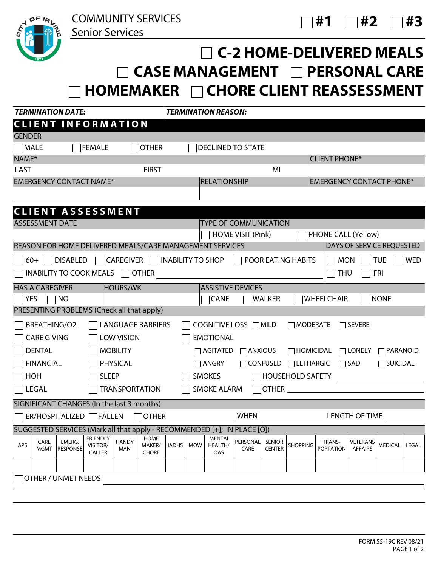

COMMUNITY SERVICES

Senior Services

## **C-2 HOME-DELIVERED MEALS □ CASE MANAGEMENT □ PERSONAL CARE HOMEMAKER CHORE CLIENT REASSESSMENT**

| <b>TERMINATION DATE:</b>                              |                        |                            |                                            |                     | <b>TERMINATION REASON:</b>            |              |             |                                                                          |                                 |                                |                         |                            |                            |                 |            |
|-------------------------------------------------------|------------------------|----------------------------|--------------------------------------------|---------------------|---------------------------------------|--------------|-------------|--------------------------------------------------------------------------|---------------------------------|--------------------------------|-------------------------|----------------------------|----------------------------|-----------------|------------|
|                                                       |                        |                            | <b>CLIENT INFORMATION</b>                  |                     |                                       |              |             |                                                                          |                                 |                                |                         |                            |                            |                 |            |
| <b>GENDER</b>                                         |                        |                            |                                            |                     |                                       |              |             |                                                                          |                                 |                                |                         |                            |                            |                 |            |
| <b>MALE</b>                                           |                        |                            | <b>FEMALE</b>                              |                     | <b>OTHER</b>                          |              |             | <b>DECLINED TO STATE</b>                                                 |                                 |                                |                         |                            |                            |                 |            |
| NAME*                                                 |                        |                            |                                            |                     |                                       |              |             |                                                                          |                                 |                                |                         | <b>CLIENT PHONE*</b>       |                            |                 |            |
| LAST                                                  |                        |                            |                                            |                     | <b>FIRST</b>                          |              |             |                                                                          |                                 | MI                             |                         |                            |                            |                 |            |
| <b>EMERGENCY CONTACT NAME*</b>                        |                        |                            |                                            | <b>RELATIONSHIP</b> |                                       |              |             |                                                                          | <b>EMERGENCY CONTACT PHONE*</b> |                                |                         |                            |                            |                 |            |
|                                                       |                        |                            |                                            |                     |                                       |              |             |                                                                          |                                 |                                |                         |                            |                            |                 |            |
|                                                       |                        |                            |                                            |                     |                                       |              |             |                                                                          |                                 |                                |                         |                            |                            |                 |            |
|                                                       | <b>ASSESSMENT DATE</b> |                            | <b>CLIENT ASSESSMENT</b>                   |                     |                                       |              |             | <b>TYPE OF COMMUNICATION</b>                                             |                                 |                                |                         |                            |                            |                 |            |
|                                                       |                        |                            |                                            |                     |                                       |              |             |                                                                          | HOME VISIT (Pink)               |                                |                         | PHONE CALL (Yellow)        |                            |                 |            |
|                                                       |                        |                            |                                            |                     |                                       |              |             | REASON FOR HOME DELIVERED MEALS/CARE MANAGEMENT SERVICES                 |                                 |                                |                         |                            | DAYS OF SERVICE REQUESTED  |                 |            |
|                                                       |                        |                            |                                            |                     |                                       |              |             |                                                                          |                                 |                                |                         |                            |                            |                 |            |
|                                                       | $60+$                  | <b>DISABLED</b>            |                                            | <b>CAREGIVER</b>    |                                       |              |             | <b>INABILITY TO SHOP</b>                                                 |                                 |                                | POOR EATING HABITS      | <b>MON</b>                 |                            | <b>TUE</b>      | <b>WED</b> |
|                                                       |                        |                            | INABILITY TO COOK MEALS                    |                     | <b>OTHER</b>                          |              |             |                                                                          |                                 |                                |                         | <b>THU</b>                 |                            | <b>FRI</b>      |            |
|                                                       | <b>HAS A CAREGIVER</b> |                            |                                            | <b>HOURS/WK</b>     |                                       |              |             | <b>ASSISTIVE DEVICES</b>                                                 |                                 |                                |                         |                            |                            |                 |            |
| YES                                                   |                        | <b>NO</b>                  |                                            |                     |                                       |              |             | <b>CANE</b>                                                              |                                 | <b>WALKER</b>                  |                         | <b>WHEELCHAIR</b>          |                            | <b>NONE</b>     |            |
|                                                       |                        |                            | PRESENTING PROBLEMS (Check all that apply) |                     |                                       |              |             |                                                                          |                                 |                                |                         |                            |                            |                 |            |
|                                                       | <b>BREATHING/O2</b>    |                            |                                            |                     | <b>LANGUAGE BARRIERS</b>              |              |             | COGNITIVE LOSS $\Box$ MILD                                               |                                 |                                | $\Box$ MODERATE         |                            | $\Box$ SEVERE              |                 |            |
|                                                       | <b>CARE GIVING</b>     |                            |                                            | <b>LOW VISION</b>   |                                       |              |             | <b>EMOTIONAL</b>                                                         |                                 |                                |                         |                            |                            |                 |            |
|                                                       | <b>DENTAL</b>          |                            |                                            | <b>MOBILITY</b>     |                                       |              |             | $\Box$ AGITATED $\Box$ ANXIOUS                                           |                                 |                                | $\Box$ HOMICIDAL        |                            | $\Box$ LONELY              | $\Box$ PARANOID |            |
|                                                       | <b>FINANCIAL</b>       |                            |                                            | PHYSICAL            |                                       |              |             | $\Box$ ANGRY                                                             | $\Box$ CONFUSED                 |                                | $\Box$ LETHARGIC        |                            | $\Box$ SAD                 | $\Box$ SUICIDAL |            |
|                                                       | HOH                    |                            | <b>SLEEP</b>                               |                     |                                       |              |             | <b>SMOKES</b>                                                            |                                 |                                | <b>NOUSEHOLD SAFETY</b> |                            |                            |                 |            |
|                                                       |                        |                            |                                            |                     |                                       |              |             |                                                                          |                                 | <b>OTHER</b>                   |                         |                            |                            |                 |            |
|                                                       | LEGAL                  |                            |                                            |                     | <b>TRANSPORTATION</b>                 |              |             | <b>SMOKE ALARM</b>                                                       |                                 |                                |                         |                            |                            |                 |            |
|                                                       |                        |                            | SIGNIFICANT CHANGES (In the last 3 months) |                     |                                       |              |             |                                                                          |                                 |                                |                         |                            |                            |                 |            |
| <b>OTHER</b><br>ER/HOSPITALIZED  <br>$\bigcap$ FALLEN |                        |                            |                                            | <b>WHEN</b>         |                                       |              |             |                                                                          | <b>LENGTH OF TIME</b>           |                                |                         |                            |                            |                 |            |
|                                                       |                        |                            |                                            |                     |                                       |              |             | SUGGESTED SERVICES (Mark all that apply - RECOMMENDED [+]; IN PLACE [O]) |                                 |                                |                         |                            |                            |                 |            |
| APS                                                   | CARE<br>MGMT           | EMERG.<br><b>RESPONSE</b>  | <b>FRIENDLY</b><br>VISITOR/<br>CALLER      | <b>HANDY</b><br>MAN | <b>HOME</b><br>MAKER/<br><b>CHORE</b> | <b>IADHS</b> | <b>IMOW</b> | <b>MENTAL</b><br>HEALTH/<br>OAS                                          | PERSONAL<br>CARE                | <b>SENIOR</b><br><b>CENTER</b> | <b>SHOPPING</b>         | TRANS-<br><b>PORTATION</b> | VETERANS<br><b>AFFAIRS</b> | <b>MEDICAL</b>  | LEGAL      |
|                                                       |                        |                            |                                            |                     |                                       |              |             |                                                                          |                                 |                                |                         |                            |                            |                 |            |
|                                                       |                        | <b>OTHER / UNMET NEEDS</b> |                                            |                     |                                       |              |             |                                                                          |                                 |                                |                         |                            |                            |                 |            |
|                                                       |                        |                            |                                            |                     |                                       |              |             |                                                                          |                                 |                                |                         |                            |                            |                 |            |